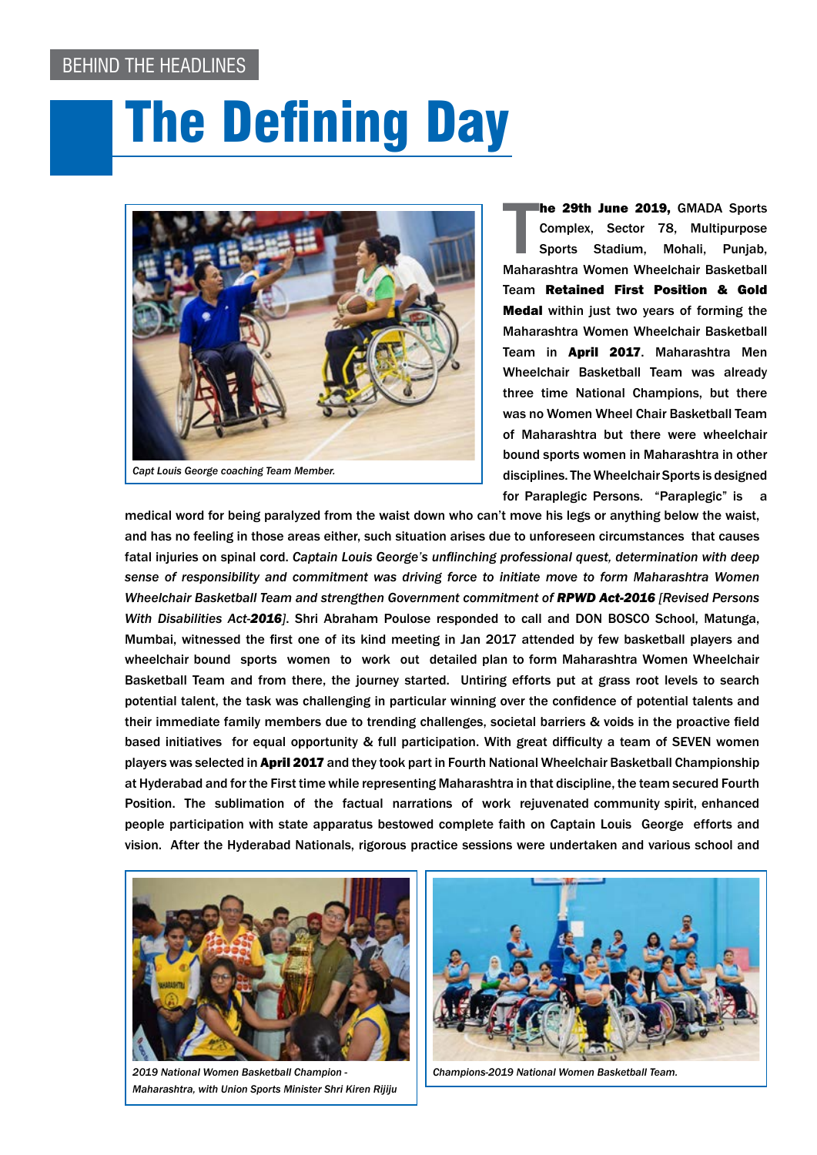## Behind The Headlines

## The Defining Day



**he 29th June 2019, GMADA Sports Complex, Sector 78, Multipurpose Sports Stadium, Mohali, Punjab, Maharashtra Women Wheelchair Basketball** he 29th June 2019, GMADA Sports Complex, Sector 78, Multipurpose Sports Stadium, Mohali, Punjab, Team Retained First Position & Gold Medal within just two years of forming the Maharashtra Women Wheelchair Basketball Team in April 2017. Maharashtra Men Wheelchair Basketball Team was already three time National Champions, but there was no Women Wheel Chair Basketball Team of Maharashtra but there were wheelchair bound sports women in Maharashtra in other disciplines. The Wheelchair Sports is designed for Paraplegic Persons. "Paraplegic" is a

medical word for being paralyzed from the waist down who can't move his legs or anything below the waist, and has no feeling in those areas either, such situation arises due to unforeseen circumstances that causes fatal injuries on spinal cord. *Captain Louis George's unflinching professional quest, determination with deep sense of responsibility and commitment was driving force to initiate move to form Maharashtra Women Wheelchair Basketball Team and strengthen Government commitment of RPWD Act-2016 [Revised Persons With Disabilities Act-2016]*. Shri Abraham Poulose responded to call and DON BOSCO School, Matunga, Mumbai, witnessed the first one of its kind meeting in Jan 2017 attended by few basketball players and wheelchair bound sports women to work out detailed plan to form Maharashtra Women Wheelchair Basketball Team and from there, the journey started. Untiring efforts put at grass root levels to search potential talent, the task was challenging in particular winning over the confidence of potential talents and their immediate family members due to trending challenges, societal barriers & voids in the proactive field based initiatives for equal opportunity & full participation. With great difficulty a team of SEVEN women players was selected in April 2017 and they took part in Fourth National Wheelchair Basketball Championship at Hyderabad and for the First time while representing Maharashtra in that discipline, the team secured Fourth Position. The sublimation of the factual narrations of work rejuvenated community spirit, enhanced people participation with state apparatus bestowed complete faith on Captain Louis George efforts and vision. After the Hyderabad Nationals, rigorous practice sessions were undertaken and various school and



*2019 National Women Basketball Champion - Maharashtra, with Union Sports Minister Shri Kiren Rijiju*



*Champions-2019 National Women Basketball Team.*